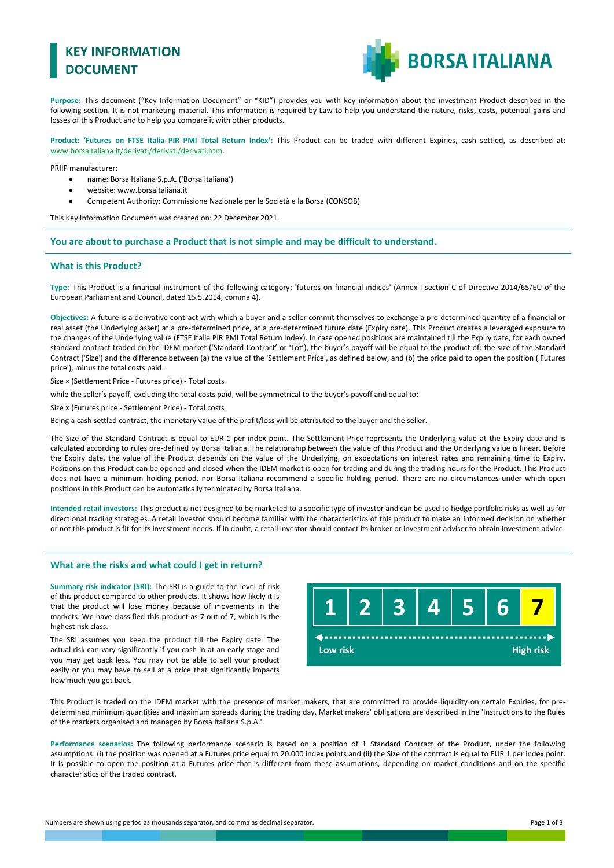# **KEY INFORMATION DOCUMENT**



**Purpose:** This document ("Key Information Document" or "KID") provides you with key information about the investment Product described in the following section. It is not marketing material. This information is required by Law to help you understand the nature, risks, costs, potential gains and losses of this Product and to help you compare it with other products.

**Product: 'Futures on FTSE Italia PIR PMI Total Return Index':** This Product can be traded with different Expiries, cash settled, as described at: [www.borsaitaliana.it/derivati/derivati/derivati.htm.](http://www.borsaitaliana.it/derivati/derivati/derivati.htm)

PRIIP manufacturer:

- name: Borsa Italiana S.p.A. ('Borsa Italiana')
- website: www.borsaitaliana.it
- Competent Authority: Commissione Nazionale per le Società e la Borsa (CONSOB)

This Key Information Document was created on: 22 December 2021.

**You are about to purchase a Product that is not simple and may be difficult to understand.**

### **What is this Product?**

**Type:** This Product is a financial instrument of the following category: 'futures on financial indices' (Annex I section C of Directive 2014/65/EU of the European Parliament and Council, dated 15.5.2014, comma 4).

**Objectives:** A future is a derivative contract with which a buyer and a seller commit themselves to exchange a pre-determined quantity of a financial or real asset (the Underlying asset) at a pre-determined price, at a pre-determined future date (Expiry date). This Product creates a leveraged exposure to the changes of the Underlying value (FTSE Italia PIR PMI Total Return Index). In case opened positions are maintained till the Expiry date, for each owned standard contract traded on the IDEM market ('Standard Contract' or 'Lot'), the buyer's payoff will be equal to the product of: the size of the Standard Contract ('Size') and the difference between (a) the value of the 'Settlement Price', as defined below, and (b) the price paid to open the position ('Futures price'), minus the total costs paid:

Size × (Settlement Price - Futures price) - Total costs

while the seller's payoff, excluding the total costs paid, will be symmetrical to the buyer's payoff and equal to:

Size × (Futures price - Settlement Price) - Total costs

Being a cash settled contract, the monetary value of the profit/loss will be attributed to the buyer and the seller.

The Size of the Standard Contract is equal to EUR 1 per index point. The Settlement Price represents the Underlying value at the Expiry date and is calculated according to rules pre-defined by Borsa Italiana. The relationship between the value of this Product and the Underlying value is linear. Before the Expiry date, the value of the Product depends on the value of the Underlying, on expectations on interest rates and remaining time to Expiry. Positions on this Product can be opened and closed when the IDEM market is open for trading and during the trading hours for the Product. This Product does not have a minimum holding period, nor Borsa Italiana recommend a specific holding period. There are no circumstances under which open positions in this Product can be automatically terminated by Borsa Italiana.

**Intended retail investors:** This product is not designed to be marketed to a specific type of investor and can be used to hedge portfolio risks as well as for directional trading strategies. A retail investor should become familiar with the characteristics of this product to make an informed decision on whether or not this product is fit for its investment needs. If in doubt, a retail investor should contact its broker or investment adviser to obtain investment advice.

#### **What are the risks and what could I get in return?**

**Summary risk indicator (SRI):** The SRI is a guide to the level of risk of this product compared to other products. It shows how likely it is that the product will lose money because of movements in the markets. We have classified this product as 7 out of 7, which is the highest risk class.

The SRI assumes you keep the product till the Expiry date. The actual risk can vary significantly if you cash in at an early stage and you may get back less. You may not be able to sell your product easily or you may have to sell at a price that significantly impacts how much you get back.

**1 2 3 4 5 6 7 Low risk High risk**

This Product is traded on the IDEM market with the presence of market makers, that are committed to provide liquidity on certain Expiries, for predetermined minimum quantities and maximum spreads during the trading day. Market makers' obligations are described in the 'Instructions to the Rules of the markets organised and managed by Borsa Italiana S.p.A.'.

**Performance scenarios:** The following performance scenario is based on a position of 1 Standard Contract of the Product, under the following assumptions: (i) the position was opened at a Futures price equal to 20.000 index points and (ii) the Size of the contract is equal to EUR 1 per index point. It is possible to open the position at a Futures price that is different from these assumptions, depending on market conditions and on the specific characteristics of the traded contract.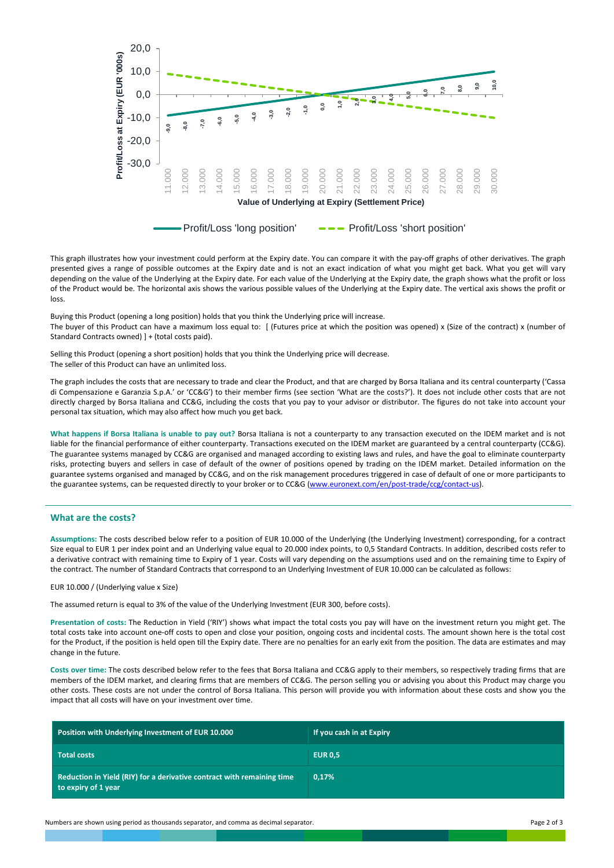

This graph illustrates how your investment could perform at the Expiry date. You can compare it with the pay-off graphs of other derivatives. The graph presented gives a range of possible outcomes at the Expiry date and is not an exact indication of what you might get back. What you get will vary depending on the value of the Underlying at the Expiry date. For each value of the Underlying at the Expiry date, the graph shows what the profit or loss of the Product would be. The horizontal axis shows the various possible values of the Underlying at the Expiry date. The vertical axis shows the profit or loss.

Buying this Product (opening a long position) holds that you think the Underlying price will increase. The buyer of this Product can have a maximum loss equal to: [ (Futures price at which the position was opened) x (Size of the contract) x (number of Standard Contracts owned) ] + (total costs paid).

Selling this Product (opening a short position) holds that you think the Underlying price will decrease. The seller of this Product can have an unlimited loss.

The graph includes the costs that are necessary to trade and clear the Product, and that are charged by Borsa Italiana and its central counterparty ('Cassa di Compensazione e Garanzia S.p.A.' or 'CC&G') to their member firms (see section 'What are the costs?'). It does not include other costs that are not directly charged by Borsa Italiana and CC&G, including the costs that you pay to your advisor or distributor. The figures do not take into account your personal tax situation, which may also affect how much you get back.

**What happens if Borsa Italiana is unable to pay out?** Borsa Italiana is not a counterparty to any transaction executed on the IDEM market and is not liable for the financial performance of either counterparty. Transactions executed on the IDEM market are guaranteed by a central counterparty (CC&G). The guarantee systems managed by CC&G are organised and managed according to existing laws and rules, and have the goal to eliminate counterparty risks, protecting buyers and sellers in case of default of the owner of positions opened by trading on the IDEM market. Detailed information on the guarantee systems organised and managed by CC&G, and on the risk management procedures triggered in case of default of one or more participants to the guarantee systems, can be requested directly to your broker or to CC&G [\(www.euronext.com/en/post-trade/ccg/contact-us\)](http://www.lseg.com/markets-products-and-services/post-trade-services/ccp-services/ccg/about-ccg-spa/contact-ccg).

### **What are the costs?**

**Assumptions:** The costs described below refer to a position of EUR 10.000 of the Underlying (the Underlying Investment) corresponding, for a contract Size equal to EUR 1 per index point and an Underlying value equal to 20.000 index points, to 0,5 Standard Contracts. In addition, described costs refer to a derivative contract with remaining time to Expiry of 1 year. Costs will vary depending on the assumptions used and on the remaining time to Expiry of the contract. The number of Standard Contracts that correspond to an Underlying Investment of EUR 10.000 can be calculated as follows:

#### EUR 10.000 / (Underlying value x Size)

The assumed return is equal to 3% of the value of the Underlying Investment (EUR 300, before costs).

**Presentation of costs:** The Reduction in Yield ('RIY') shows what impact the total costs you pay will have on the investment return you might get. The total costs take into account one-off costs to open and close your position, ongoing costs and incidental costs. The amount shown here is the total cost for the Product, if the position is held open till the Expiry date. There are no penalties for an early exit from the position. The data are estimates and may change in the future.

**Costs over time:** The costs described below refer to the fees that Borsa Italiana and CC&G apply to their members, so respectively trading firms that are members of the IDEM market, and clearing firms that are members of CC&G. The person selling you or advising you about this Product may charge you other costs. These costs are not under the control of Borsa Italiana. This person will provide you with information about these costs and show you the impact that all costs will have on your investment over time.

| Position with Underlying Investment of EUR 10.000                                             | If you cash in at Expiry |
|-----------------------------------------------------------------------------------------------|--------------------------|
| <b>Total costs</b>                                                                            | <b>EUR 0.5</b>           |
| Reduction in Yield (RIY) for a derivative contract with remaining time<br>to expiry of 1 year | 0.17%                    |